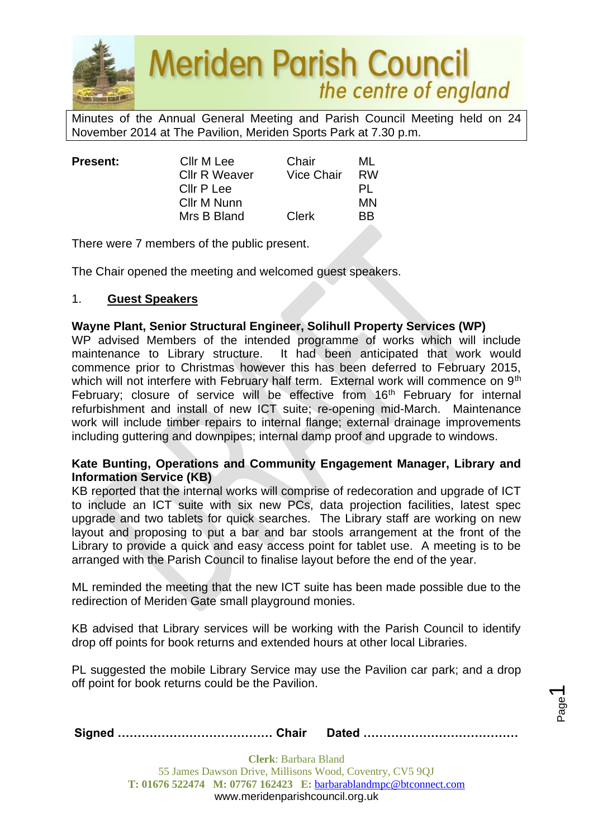

Minutes of the Annual General Meeting and Parish Council Meeting held on 24 November 2014 at The Pavilion, Meriden Sports Park at 7.30 p.m.

| <b>Present:</b> | Cllr M Lee           | Chair             | ML        |
|-----------------|----------------------|-------------------|-----------|
|                 | <b>Cllr R Weaver</b> | <b>Vice Chair</b> | <b>RW</b> |
|                 | Cllr P Lee           |                   | PL        |
|                 | Cllr M Nunn          |                   | ΜN        |
|                 | Mrs B Bland          | <b>Clerk</b>      | <b>BB</b> |
|                 |                      |                   |           |

There were 7 members of the public present.

The Chair opened the meeting and welcomed guest speakers.

## 1. **Guest Speakers**

#### **Wayne Plant, Senior Structural Engineer, Solihull Property Services (WP)**

WP advised Members of the intended programme of works which will include maintenance to Library structure. It had been anticipated that work would commence prior to Christmas however this has been deferred to February 2015, which will not interfere with February half term. External work will commence on 9<sup>th</sup> February; closure of service will be effective from 16<sup>th</sup> February for internal refurbishment and install of new ICT suite; re-opening mid-March. Maintenance work will include timber repairs to internal flange; external drainage improvements including guttering and downpipes; internal damp proof and upgrade to windows.

#### **Kate Bunting, Operations and Community Engagement Manager, Library and Information Service (KB)**

KB reported that the internal works will comprise of redecoration and upgrade of ICT to include an ICT suite with six new PCs, data projection facilities, latest spec upgrade and two tablets for quick searches. The Library staff are working on new layout and proposing to put a bar and bar stools arrangement at the front of the Library to provide a quick and easy access point for tablet use. A meeting is to be arranged with the Parish Council to finalise layout before the end of the year.

ML reminded the meeting that the new ICT suite has been made possible due to the redirection of Meriden Gate small playground monies.

KB advised that Library services will be working with the Parish Council to identify drop off points for book returns and extended hours at other local Libraries.

PL suggested the mobile Library Service may use the Pavilion car park; and a drop off point for book returns could be the Pavilion.

Page  $\overline{\phantom{0}}$ 

|--|--|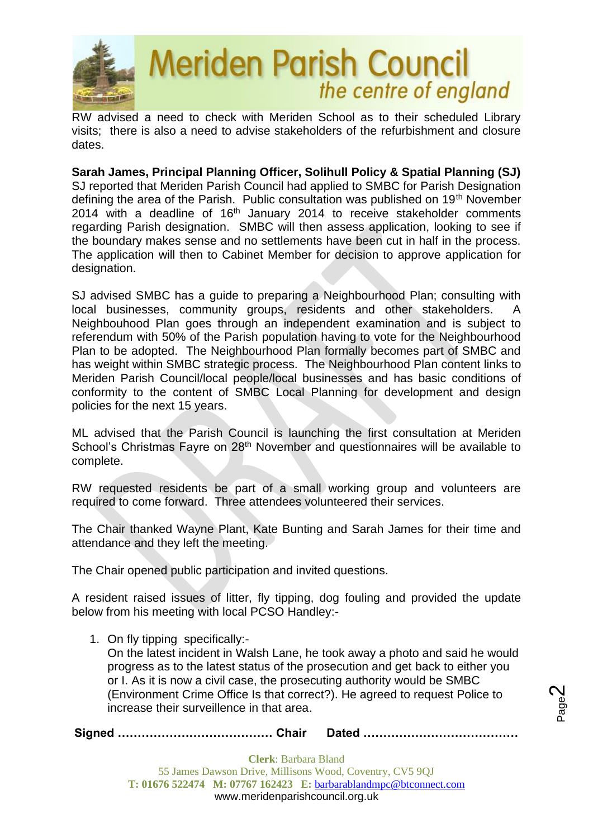

RW advised a need to check with Meriden School as to their scheduled Library visits; there is also a need to advise stakeholders of the refurbishment and closure dates.

**Sarah James, Principal Planning Officer, Solihull Policy & Spatial Planning (SJ)** SJ reported that Meriden Parish Council had applied to SMBC for Parish Designation defining the area of the Parish. Public consultation was published on 19<sup>th</sup> November 2014 with a deadline of 16th January 2014 to receive stakeholder comments regarding Parish designation. SMBC will then assess application, looking to see if the boundary makes sense and no settlements have been cut in half in the process. The application will then to Cabinet Member for decision to approve application for designation.

SJ advised SMBC has a guide to preparing a Neighbourhood Plan; consulting with local businesses, community groups, residents and other stakeholders. A Neighbouhood Plan goes through an independent examination and is subject to referendum with 50% of the Parish population having to vote for the Neighbourhood Plan to be adopted. The Neighbourhood Plan formally becomes part of SMBC and has weight within SMBC strategic process. The Neighbourhood Plan content links to Meriden Parish Council/local people/local businesses and has basic conditions of conformity to the content of SMBC Local Planning for development and design policies for the next 15 years.

ML advised that the Parish Council is launching the first consultation at Meriden School's Christmas Fayre on 28<sup>th</sup> November and questionnaires will be available to complete.

RW requested residents be part of a small working group and volunteers are required to come forward. Three attendees volunteered their services.

The Chair thanked Wayne Plant, Kate Bunting and Sarah James for their time and attendance and they left the meeting.

The Chair opened public participation and invited questions.

A resident raised issues of litter, fly tipping, dog fouling and provided the update below from his meeting with local PCSO Handley:-

1. On fly tipping specifically:- On the latest incident in Walsh Lane, he took away a photo and said he would progress as to the latest status of the prosecution and get back to either you or I. As it is now a civil case, the prosecuting authority would be SMBC (Environment Crime Office Is that correct?). He agreed to request Police to increase their surveillence in that area.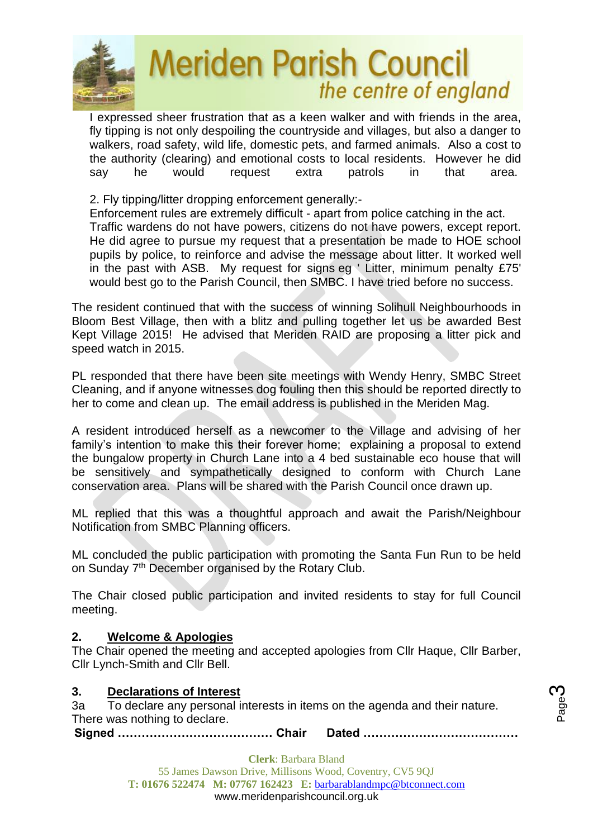

I expressed sheer frustration that as a keen walker and with friends in the area, fly tipping is not only despoiling the countryside and villages, but also a danger to walkers, road safety, wild life, domestic pets, and farmed animals. Also a cost to the authority (clearing) and emotional costs to local residents. However he did say he would request extra patrols in that area.

2. Fly tipping/litter dropping enforcement generally:-

Enforcement rules are extremely difficult - apart from police catching in the act. Traffic wardens do not have powers, citizens do not have powers, except report. He did agree to pursue my request that a presentation be made to HOE school pupils by police, to reinforce and advise the message about litter. It worked well in the past with ASB. My request for signs eg ' Litter, minimum penalty £75' would best go to the Parish Council, then SMBC. I have tried before no success.

The resident continued that with the success of winning Solihull Neighbourhoods in Bloom Best Village, then with a blitz and pulling together let us be awarded Best Kept Village 2015! He advised that Meriden RAID are proposing a litter pick and speed watch in 2015.

PL responded that there have been site meetings with Wendy Henry, SMBC Street Cleaning, and if anyone witnesses dog fouling then this should be reported directly to her to come and clean up. The email address is published in the Meriden Mag.

A resident introduced herself as a newcomer to the Village and advising of her family's intention to make this their forever home; explaining a proposal to extend the bungalow property in Church Lane into a 4 bed sustainable eco house that will be sensitively and sympathetically designed to conform with Church Lane conservation area. Plans will be shared with the Parish Council once drawn up.

ML replied that this was a thoughtful approach and await the Parish/Neighbour Notification from SMBC Planning officers.

ML concluded the public participation with promoting the Santa Fun Run to be held on Sunday 7<sup>th</sup> December organised by the Rotary Club.

The Chair closed public participation and invited residents to stay for full Council meeting.

## **2. Welcome & Apologies**

The Chair opened the meeting and accepted apologies from Cllr Haque, Cllr Barber, Cllr Lynch-Smith and Cllr Bell.

## **3. Declarations of Interest**

3a To declare any personal interests in items on the agenda and their nature. There was nothing to declare.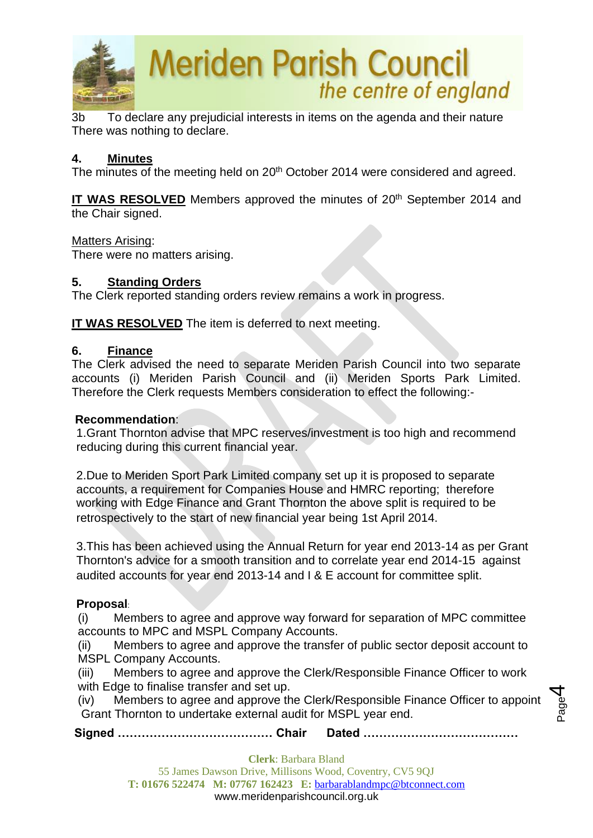

3b To declare any prejudicial interests in items on the agenda and their nature There was nothing to declare.

## **4. Minutes**

The minutes of the meeting held on 20<sup>th</sup> October 2014 were considered and agreed.

**IT WAS RESOLVED** Members approved the minutes of 20<sup>th</sup> September 2014 and the Chair signed.

## Matters Arising:

There were no matters arising.

## **5. Standing Orders**

The Clerk reported standing orders review remains a work in progress.

**IT WAS RESOLVED** The item is deferred to next meeting.

#### **6. Finance**

The Clerk advised the need to separate Meriden Parish Council into two separate accounts (i) Meriden Parish Council and (ii) Meriden Sports Park Limited. Therefore the Clerk requests Members consideration to effect the following:-

#### **Recommendation**:

1.Grant Thornton advise that MPC reserves/investment is too high and recommend reducing during this current financial year.

2.Due to Meriden Sport Park Limited company set up it is proposed to separate accounts, a requirement for Companies House and HMRC reporting; therefore working with Edge Finance and Grant Thornton the above split is required to be retrospectively to the start of new financial year being 1st April 2014.

3.This has been achieved using the Annual Return for year end 2013-14 as per Grant Thornton's advice for a smooth transition and to correlate year end 2014-15 against audited accounts for year end 2013-14 and I & E account for committee split.

## **Proposal**:

(i) Members to agree and approve way forward for separation of MPC committee accounts to MPC and MSPL Company Accounts.

(ii) Members to agree and approve the transfer of public sector deposit account to MSPL Company Accounts.

(iii) Members to agree and approve the Clerk/Responsible Finance Officer to work with Edge to finalise transfer and set up.

(iv) Members to agree and approve the Clerk/Responsible Finance Officer to appoint Grant Thornton to undertake external audit for MSPL year end.

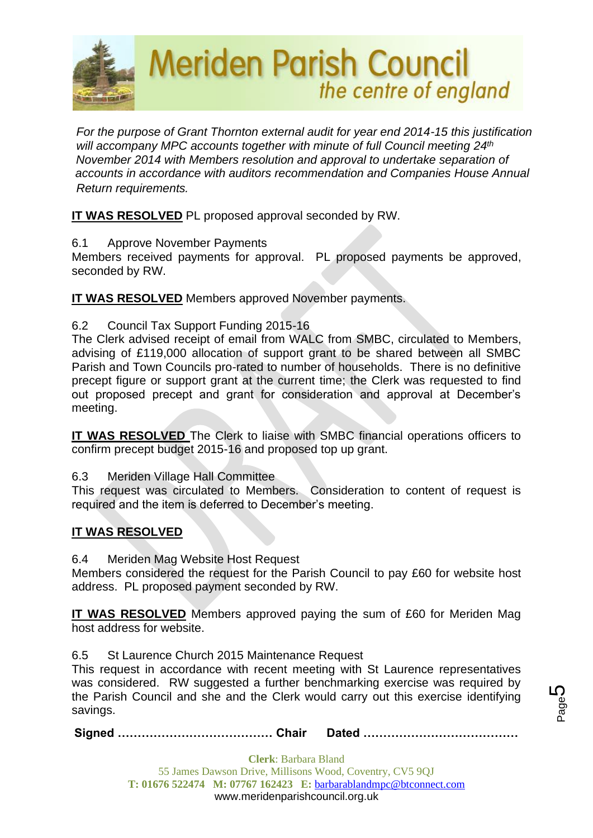

*For the purpose of Grant Thornton external audit for year end 2014-15 this justification will accompany MPC accounts together with minute of full Council meeting 24th 24th Nove November 2014 with Members resolution and approval to undertake separation of Aecommen accounts in accordance with auditors recommendation and Companies House Annual Return requirements.*

**IT WAS RESOLVED** PL proposed approval seconded by RW.

6.1 Approve November Payments

Members received payments for approval. PL proposed payments be approved, seconded by RW.

**IT WAS RESOLVED** Members approved November payments.

6.2 Council Tax Support Funding 2015-16

The Clerk advised receipt of email from WALC from SMBC, circulated to Members, advising of £119,000 allocation of support grant to be shared between all SMBC Parish and Town Councils pro-rated to number of households. There is no definitive precept figure or support grant at the current time; the Clerk was requested to find out proposed precept and grant for consideration and approval at December's meeting.

**IT WAS RESOLVED** The Clerk to liaise with SMBC financial operations officers to confirm precept budget 2015-16 and proposed top up grant.

## 6.3 Meriden Village Hall Committee

This request was circulated to Members. Consideration to content of request is required and the item is deferred to December's meeting.

## **IT WAS RESOLVED**

6.4 Meriden Mag Website Host Request

Members considered the request for the Parish Council to pay £60 for website host address. PL proposed payment seconded by RW.

**IT WAS RESOLVED** Members approved paying the sum of £60 for Meriden Mag host address for website.

6.5 St Laurence Church 2015 Maintenance Request

This request in accordance with recent meeting with St Laurence representatives was considered. RW suggested a further benchmarking exercise was required by the Parish Council and she and the Clerk would carry out this exercise identifying savings.

**Signed ………………………………… Chair Dated …………………………………**

Page<sup>1</sup> 5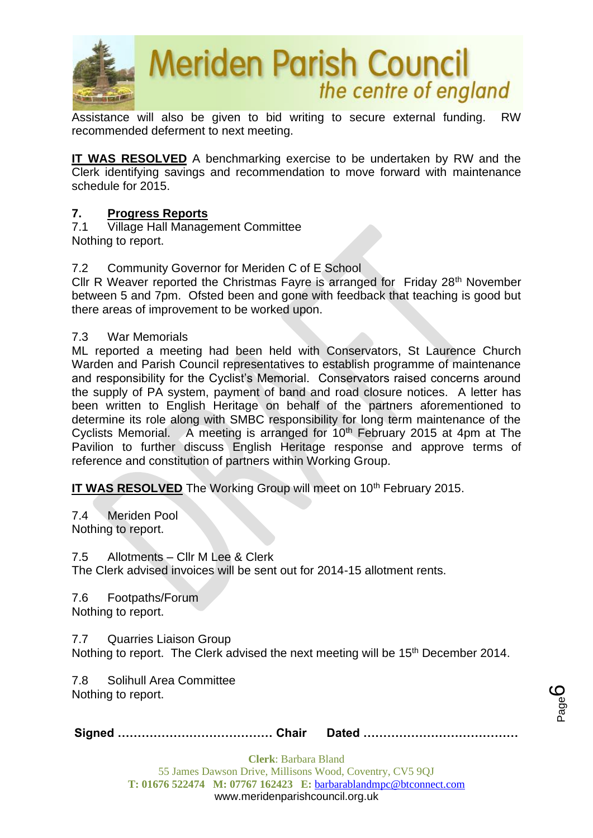

Assistance will also be given to bid writing to secure external funding. RW recommended deferment to next meeting.

**IT WAS RESOLVED** A benchmarking exercise to be undertaken by RW and the Clerk identifying savings and recommendation to move forward with maintenance schedule for 2015.

## **7. Progress Reports**

7.1 Village Hall Management Committee Nothing to report.

## 7.2 Community Governor for Meriden C of E School

Cllr R Weaver reported the Christmas Fayre is arranged for Friday 28<sup>th</sup> November between 5 and 7pm. Ofsted been and gone with feedback that teaching is good but there areas of improvement to be worked upon.

#### 7.3 War Memorials

ML reported a meeting had been held with Conservators, St Laurence Church Warden and Parish Council representatives to establish programme of maintenance and responsibility for the Cyclist's Memorial. Conservators raised concerns around the supply of PA system, payment of band and road closure notices. A letter has been written to English Heritage on behalf of the partners aforementioned to determine its role along with SMBC responsibility for long term maintenance of the Cyclists Memorial. A meeting is arranged for 10<sup>th</sup> February 2015 at 4pm at The Pavilion to further discuss English Heritage response and approve terms of reference and constitution of partners within Working Group.

**IT WAS RESOLVED** The Working Group will meet on 10<sup>th</sup> February 2015.

7.4 Meriden Pool Nothing to report.

7.5 Allotments – Cllr M Lee & Clerk

The Clerk advised invoices will be sent out for 2014-15 allotment rents.

7.6 Footpaths/Forum Nothing to report.

7.7 Quarries Liaison Group

Nothing to report. The Clerk advised the next meeting will be 15<sup>th</sup> December 2014.

7.8 Solihull Area Committee Nothing to report.

|--|--|

Page ပ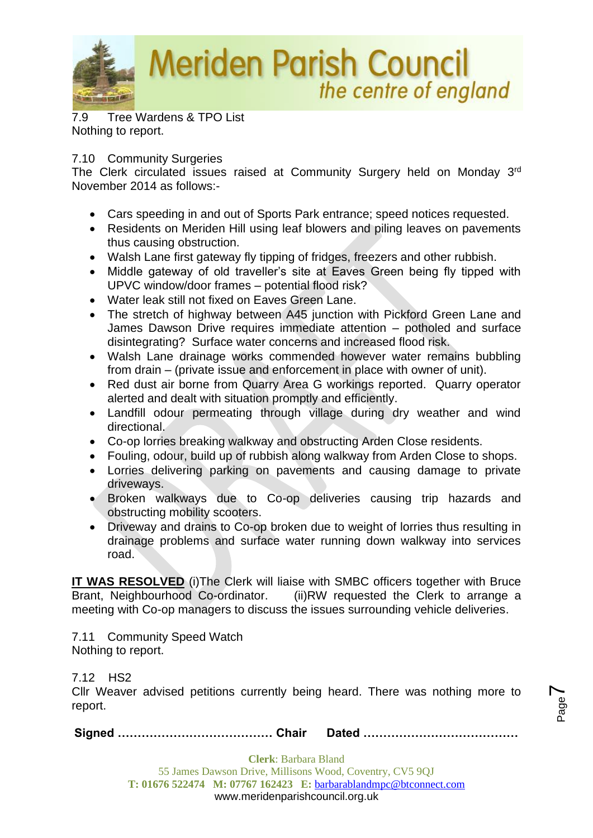

7.9 Tree Wardens & TPO List Nothing to report.

## 7.10 Community Surgeries

The Clerk circulated issues raised at Community Surgery held on Monday 3rd November 2014 as follows:-

- Cars speeding in and out of Sports Park entrance; speed notices requested.
- Residents on Meriden Hill using leaf blowers and piling leaves on pavements thus causing obstruction.
- Walsh Lane first gateway fly tipping of fridges, freezers and other rubbish.
- Middle gateway of old traveller's site at Eaves Green being fly tipped with UPVC window/door frames – potential flood risk?
- Water leak still not fixed on Eaves Green Lane.
- The stretch of highway between A45 junction with Pickford Green Lane and James Dawson Drive requires immediate attention – potholed and surface disintegrating? Surface water concerns and increased flood risk.
- Walsh Lane drainage works commended however water remains bubbling from drain – (private issue and enforcement in place with owner of unit).
- Red dust air borne from Quarry Area G workings reported. Quarry operator alerted and dealt with situation promptly and efficiently.
- Landfill odour permeating through village during dry weather and wind directional.
- Co-op lorries breaking walkway and obstructing Arden Close residents.
- Fouling, odour, build up of rubbish along walkway from Arden Close to shops.
- Lorries delivering parking on pavements and causing damage to private driveways.
- Broken walkways due to Co-op deliveries causing trip hazards and obstructing mobility scooters.
- Driveway and drains to Co-op broken due to weight of lorries thus resulting in drainage problems and surface water running down walkway into services road.

**IT WAS RESOLVED** (i)The Clerk will liaise with SMBC officers together with Bruce Brant, Neighbourhood Co-ordinator. (ii)RW requested the Clerk to arrange a meeting with Co-op managers to discuss the issues surrounding vehicle deliveries.

7.11 Community Speed Watch Nothing to report.

7.12 HS2

Cllr Weaver advised petitions currently being heard. There was nothing more to report.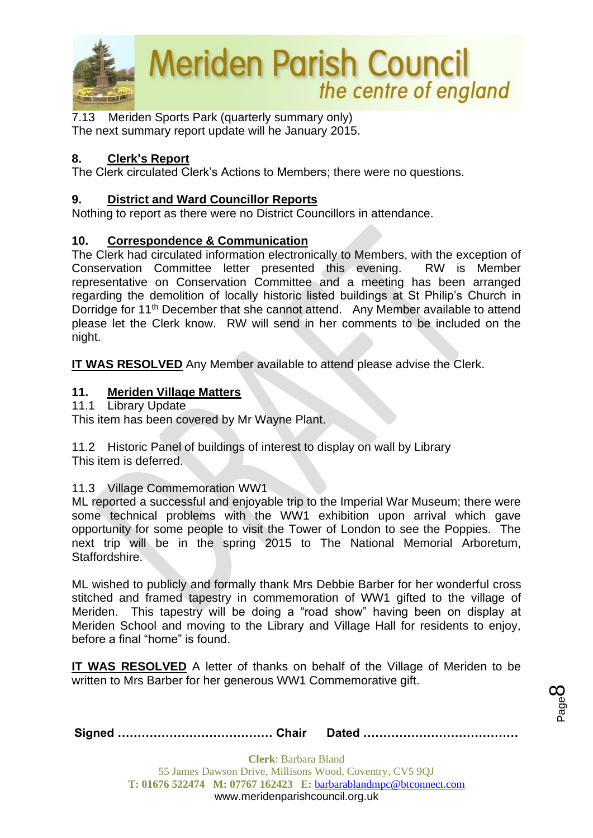

7.13Meriden Sports Park (quarterly summary only) The next summary report update will he January 2015.

## **8. Clerk's Report**

The Clerk circulated Clerk's Actions to Members; there were no questions.

## **9. District and Ward Councillor Reports**

Nothing to report as there were no District Councillors in attendance.

## **10. Correspondence & Communication**

The Clerk had circulated information electronically to Members, with the exception of Conservation Committee letter presented this evening. RW is Member representative on Conservation Committee and a meeting has been arranged regarding the demolition of locally historic listed buildings at St Philip's Church in Dorridge for 11<sup>th</sup> December that she cannot attend. Any Member available to attend please let the Clerk know. RW will send in her comments to be included on the night.

**IT WAS RESOLVED** Any Member available to attend please advise the Clerk.

## **11. Meriden Village Matters**

11.1 Library Update

This item has been covered by Mr Wayne Plant.

11.2 Historic Panel of buildings of interest to display on wall by Library This item is deferred.

## 11.3 Village Commemoration WW1

ML reported a successful and enjoyable trip to the Imperial War Museum; there were some technical problems with the WW1 exhibition upon arrival which gave opportunity for some people to visit the Tower of London to see the Poppies. The next trip will be in the spring 2015 to The National Memorial Arboretum, Staffordshire.

ML wished to publicly and formally thank Mrs Debbie Barber for her wonderful cross stitched and framed tapestry in commemoration of WW1 gifted to the village of Meriden. This tapestry will be doing a "road show" having been on display at Meriden School and moving to the Library and Village Hall for residents to enjoy, before a final "home" is found.

**IT WAS RESOLVED** A letter of thanks on behalf of the Village of Meriden to be written to Mrs Barber for her generous WW1 Commemorative gift.

**Signed ………………………………… Chair Dated …………………………………**

Page  $\infty$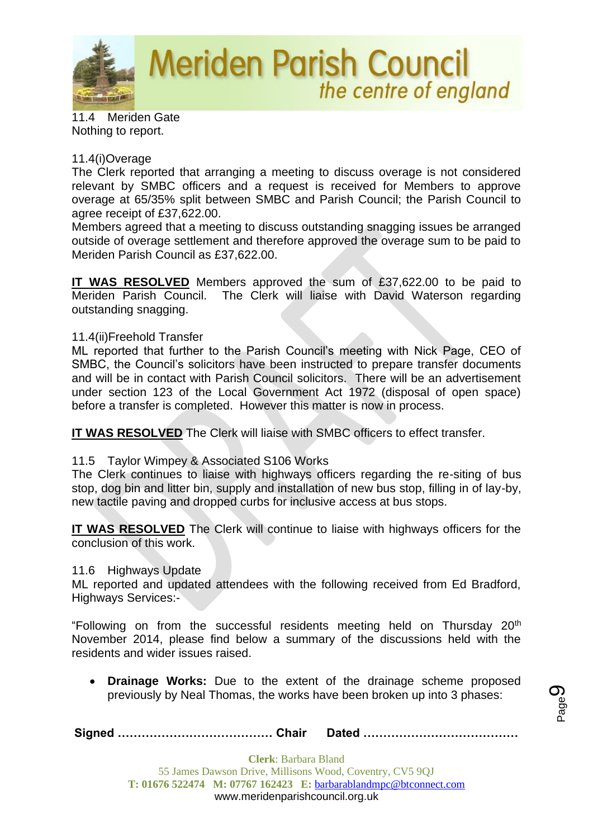

11.4 Meriden Gate Nothing to report.

## 11.4(i)Overage

The Clerk reported that arranging a meeting to discuss overage is not considered relevant by SMBC officers and a request is received for Members to approve overage at 65/35% split between SMBC and Parish Council; the Parish Council to agree receipt of £37,622.00.

Members agreed that a meeting to discuss outstanding snagging issues be arranged outside of overage settlement and therefore approved the overage sum to be paid to Meriden Parish Council as £37,622.00.

**IT WAS RESOLVED** Members approved the sum of £37,622.00 to be paid to Meriden Parish Council. The Clerk will liaise with David Waterson regarding outstanding snagging.

#### 11.4(ii)Freehold Transfer

ML reported that further to the Parish Council's meeting with Nick Page, CEO of SMBC, the Council's solicitors have been instructed to prepare transfer documents and will be in contact with Parish Council solicitors. There will be an advertisement under section 123 of the Local Government Act 1972 (disposal of open space) before a transfer is completed. However this matter is now in process.

**IT WAS RESOLVED** The Clerk will liaise with SMBC officers to effect transfer.

## 11.5 Taylor Wimpey & Associated S106 Works

The Clerk continues to liaise with highways officers regarding the re-siting of bus stop, dog bin and litter bin, supply and installation of new bus stop, filling in of lay-by, new tactile paving and dropped curbs for inclusive access at bus stops.

**IT WAS RESOLVED** The Clerk will continue to liaise with highways officers for the conclusion of this work.

#### 11.6 Highways Update

ML reported and updated attendees with the following received from Ed Bradford, Highways Services:-

"Following on from the successful residents meeting held on Thursday 20th November 2014, please find below a summary of the discussions held with the residents and wider issues raised.

• **Drainage Works:** Due to the extent of the drainage scheme proposed previously by Neal Thomas, the works have been broken up into 3 phases: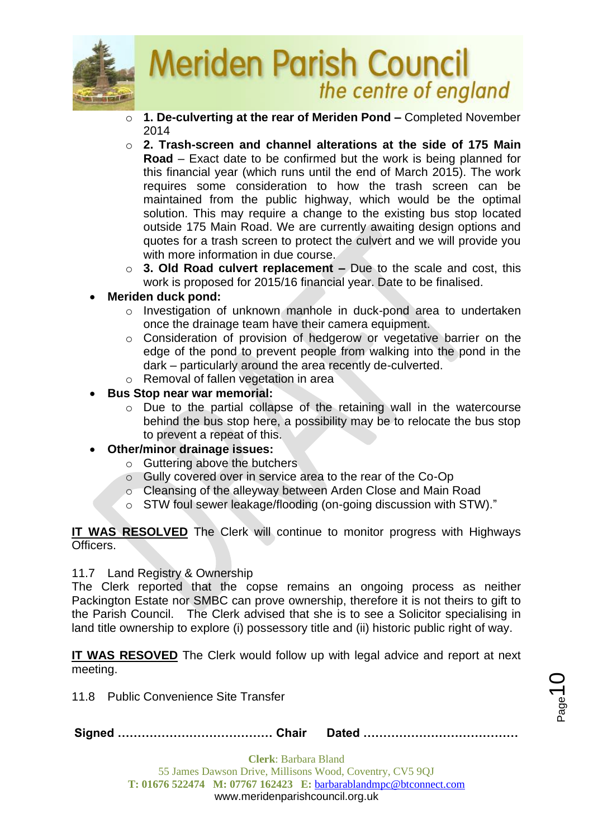

- o **1. De-culverting at the rear of Meriden Pond –** Completed November 2014
- o **2. Trash-screen and channel alterations at the side of 175 Main Road** – Exact date to be confirmed but the work is being planned for this financial year (which runs until the end of March 2015). The work requires some consideration to how the trash screen can be maintained from the public highway, which would be the optimal solution. This may require a change to the existing bus stop located outside 175 Main Road. We are currently awaiting design options and quotes for a trash screen to protect the culvert and we will provide you with more information in due course.
- o **3. Old Road culvert replacement –** Due to the scale and cost, this work is proposed for 2015/16 financial year. Date to be finalised.
- **Meriden duck pond:**
	- o Investigation of unknown manhole in duck-pond area to undertaken once the drainage team have their camera equipment.
	- o Consideration of provision of hedgerow or vegetative barrier on the edge of the pond to prevent people from walking into the pond in the dark – particularly around the area recently de-culverted.
	- o Removal of fallen vegetation in area
- **Bus Stop near war memorial:**
	- o Due to the partial collapse of the retaining wall in the watercourse behind the bus stop here, a possibility may be to relocate the bus stop to prevent a repeat of this.
- **Other/minor drainage issues:**
	- o Guttering above the butchers
	- o Gully covered over in service area to the rear of the Co-Op
	- Cleansing of the alleyway between Arden Close and Main Road
	- o STW foul sewer leakage/flooding (on-going discussion with STW)."

**IT WAS RESOLVED** The Clerk will continue to monitor progress with Highways Officers.

## 11.7 Land Registry & Ownership

The Clerk reported that the copse remains an ongoing process as neither Packington Estate nor SMBC can prove ownership, therefore it is not theirs to gift to the Parish Council. The Clerk advised that she is to see a Solicitor specialising in land title ownership to explore (i) possessory title and (ii) historic public right of way.

**IT WAS RESOVED** The Clerk would follow up with legal advice and report at next meeting.

11.8 Public Convenience Site Transfer

**Signed ………………………………… Chair Dated …………………………………**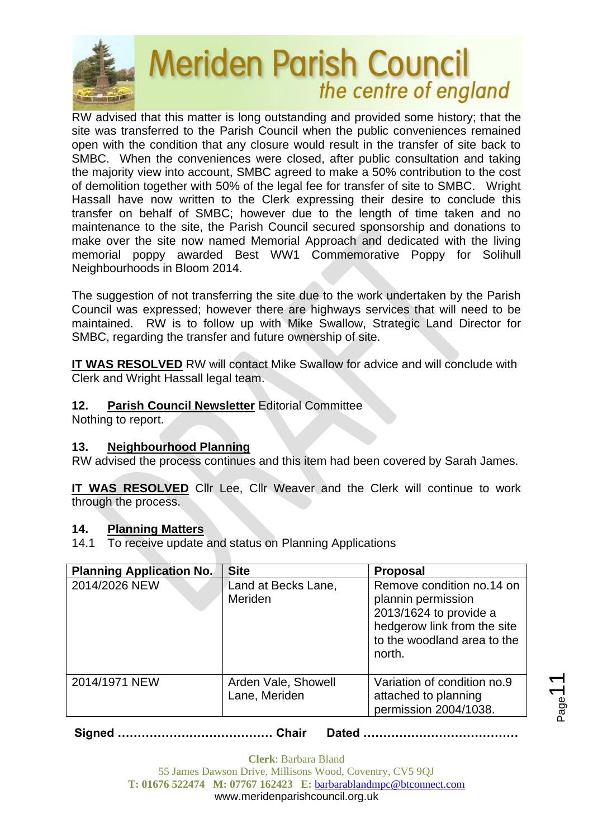

RW advised that this matter is long outstanding and provided some history; that the site was transferred to the Parish Council when the public conveniences remained open with the condition that any closure would result in the transfer of site back to SMBC. When the conveniences were closed, after public consultation and taking the majority view into account, SMBC agreed to make a 50% contribution to the cost of demolition together with 50% of the legal fee for transfer of site to SMBC. Wright Hassall have now written to the Clerk expressing their desire to conclude this transfer on behalf of SMBC; however due to the length of time taken and no maintenance to the site, the Parish Council secured sponsorship and donations to make over the site now named Memorial Approach and dedicated with the living memorial poppy awarded Best WW1 Commemorative Poppy for Solihull Neighbourhoods in Bloom 2014.

The suggestion of not transferring the site due to the work undertaken by the Parish Council was expressed; however there are highways services that will need to be maintained. RW is to follow up with Mike Swallow, Strategic Land Director for SMBC, regarding the transfer and future ownership of site.

**IT WAS RESOLVED** RW will contact Mike Swallow for advice and will conclude with Clerk and Wright Hassall legal team.

## **12. Parish Council Newsletter** Editorial Committee

Nothing to report.

## **13. Neighbourhood Planning**

RW advised the process continues and this item had been covered by Sarah James.

**IT WAS RESOLVED** Cllr Lee, Cllr Weaver and the Clerk will continue to work through the process.

## **14. Planning Matters**

14.1 To receive update and status on Planning Applications

| <b>Planning Application No.</b> | <b>Site</b>                           | <b>Proposal</b>                                                                                                                                   |
|---------------------------------|---------------------------------------|---------------------------------------------------------------------------------------------------------------------------------------------------|
| 2014/2026 NEW                   | Land at Becks Lane,<br><b>Meriden</b> | Remove condition no.14 on<br>plannin permission<br>2013/1624 to provide a<br>hedgerow link from the site<br>to the woodland area to the<br>north. |
| 2014/1971 NEW                   | Arden Vale, Showell<br>Lane, Meriden  | Variation of condition no.9<br>attached to planning<br>permission 2004/1038.                                                                      |

**Signed ………………………………… Chair Dated …………………………………**

Page<sup>1</sup>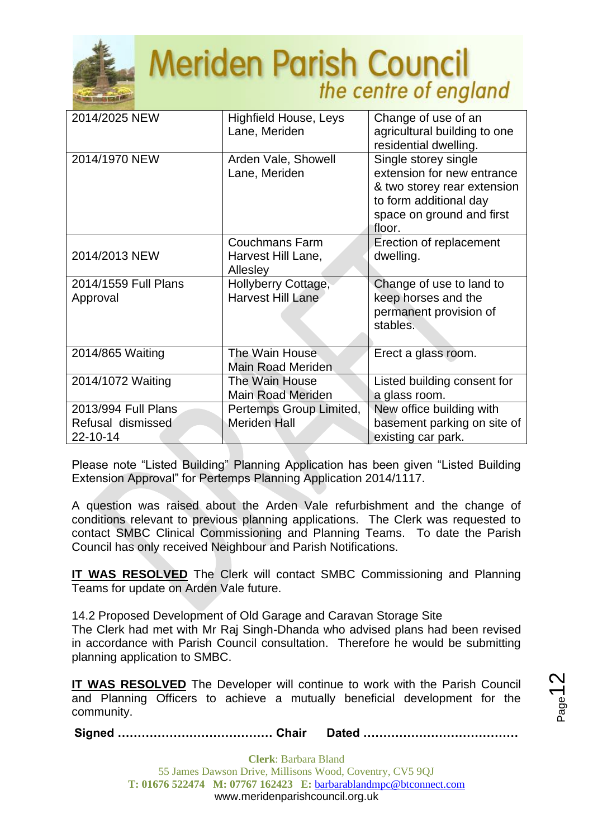

| 2014/2025 NEW                                        | <b>Highfield House, Leys</b><br>Lane, Meriden           | Change of use of an<br>agricultural building to one<br>residential dwelling.                                                                       |
|------------------------------------------------------|---------------------------------------------------------|----------------------------------------------------------------------------------------------------------------------------------------------------|
| 2014/1970 NEW                                        | Arden Vale, Showell<br>Lane, Meriden                    | Single storey single<br>extension for new entrance<br>& two storey rear extension<br>to form additional day<br>space on ground and first<br>floor. |
| 2014/2013 NEW                                        | <b>Couchmans Farm</b><br>Harvest Hill Lane,<br>Allesley | Erection of replacement<br>dwelling.                                                                                                               |
| 2014/1559 Full Plans<br>Approval                     | Hollyberry Cottage,<br><b>Harvest Hill Lane</b>         | Change of use to land to<br>keep horses and the<br>permanent provision of<br>stables.                                                              |
| 2014/865 Waiting                                     | The Wain House<br><b>Main Road Meriden</b>              | Erect a glass room.                                                                                                                                |
| 2014/1072 Waiting                                    | The Wain House<br><b>Main Road Meriden</b>              | Listed building consent for<br>a glass room.                                                                                                       |
| 2013/994 Full Plans<br>Refusal dismissed<br>22-10-14 | Pertemps Group Limited,<br><b>Meriden Hall</b>          | New office building with<br>basement parking on site of<br>existing car park.                                                                      |

Please note "Listed Building" Planning Application has been given "Listed Building Extension Approval" for Pertemps Planning Application 2014/1117.

A question was raised about the Arden Vale refurbishment and the change of conditions relevant to previous planning applications. The Clerk was requested to contact SMBC Clinical Commissioning and Planning Teams. To date the Parish Council has only received Neighbour and Parish Notifications.

**IT WAS RESOLVED** The Clerk will contact SMBC Commissioning and Planning Teams for update on Arden Vale future.

14.2 Proposed Development of Old Garage and Caravan Storage Site The Clerk had met with Mr Raj Singh-Dhanda who advised plans had been revised in accordance with Parish Council consultation. Therefore he would be submitting planning application to SMBC.

**IT WAS RESOLVED** The Developer will continue to work with the Parish Council and Planning Officers to achieve a mutually beneficial development for the community.

**Signed ………………………………… Chair Dated …………………………………**